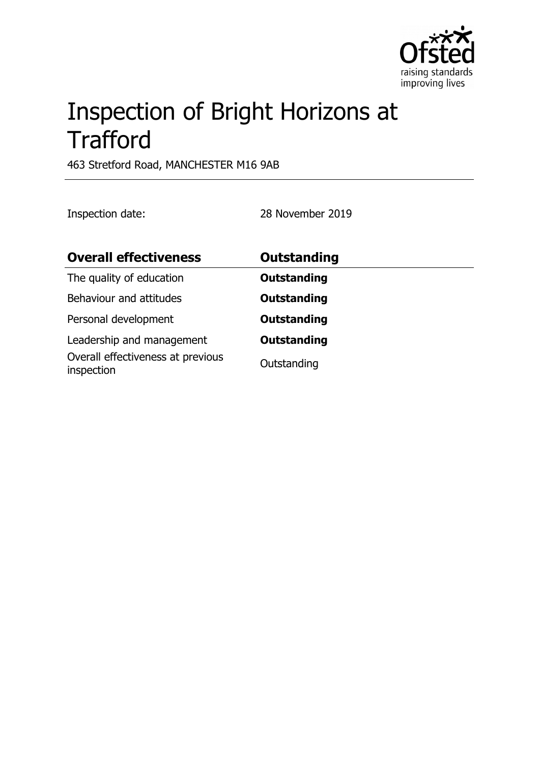

# Inspection of Bright Horizons at **Trafford**

463 Stretford Road, MANCHESTER M16 9AB

Inspection date: 28 November 2019

| <b>Overall effectiveness</b>                                                 | Outstanding                       |
|------------------------------------------------------------------------------|-----------------------------------|
| The quality of education                                                     | <b>Outstanding</b>                |
| Behaviour and attitudes                                                      | <b>Outstanding</b>                |
| Personal development                                                         | <b>Outstanding</b>                |
| Leadership and management<br>Overall effectiveness at previous<br>inspection | <b>Outstanding</b><br>Outstanding |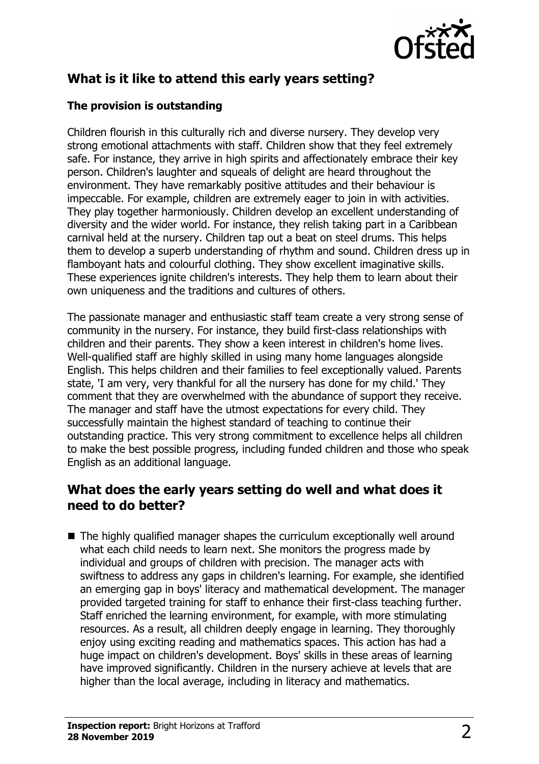

# **What is it like to attend this early years setting?**

#### **The provision is outstanding**

Children flourish in this culturally rich and diverse nursery. They develop very strong emotional attachments with staff. Children show that they feel extremely safe. For instance, they arrive in high spirits and affectionately embrace their key person. Children's laughter and squeals of delight are heard throughout the environment. They have remarkably positive attitudes and their behaviour is impeccable. For example, children are extremely eager to join in with activities. They play together harmoniously. Children develop an excellent understanding of diversity and the wider world. For instance, they relish taking part in a Caribbean carnival held at the nursery. Children tap out a beat on steel drums. This helps them to develop a superb understanding of rhythm and sound. Children dress up in flamboyant hats and colourful clothing. They show excellent imaginative skills. These experiences ignite children's interests. They help them to learn about their own uniqueness and the traditions and cultures of others.

The passionate manager and enthusiastic staff team create a very strong sense of community in the nursery. For instance, they build first-class relationships with children and their parents. They show a keen interest in children's home lives. Well-qualified staff are highly skilled in using many home languages alongside English. This helps children and their families to feel exceptionally valued. Parents state, 'I am very, very thankful for all the nursery has done for my child.' They comment that they are overwhelmed with the abundance of support they receive. The manager and staff have the utmost expectations for every child. They successfully maintain the highest standard of teaching to continue their outstanding practice. This very strong commitment to excellence helps all children to make the best possible progress, including funded children and those who speak English as an additional language.

### **What does the early years setting do well and what does it need to do better?**

 $\blacksquare$  The highly qualified manager shapes the curriculum exceptionally well around what each child needs to learn next. She monitors the progress made by individual and groups of children with precision. The manager acts with swiftness to address any gaps in children's learning. For example, she identified an emerging gap in boys' literacy and mathematical development. The manager provided targeted training for staff to enhance their first-class teaching further. Staff enriched the learning environment, for example, with more stimulating resources. As a result, all children deeply engage in learning. They thoroughly enjoy using exciting reading and mathematics spaces. This action has had a huge impact on children's development. Boys' skills in these areas of learning have improved significantly. Children in the nursery achieve at levels that are higher than the local average, including in literacy and mathematics.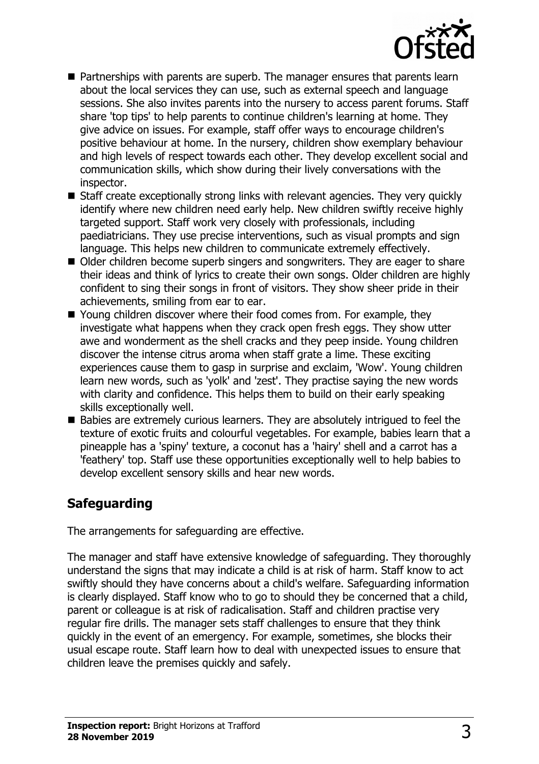

- $\blacksquare$  Partnerships with parents are superb. The manager ensures that parents learn about the local services they can use, such as external speech and language sessions. She also invites parents into the nursery to access parent forums. Staff share 'top tips' to help parents to continue children's learning at home. They give advice on issues. For example, staff offer ways to encourage children's positive behaviour at home. In the nursery, children show exemplary behaviour and high levels of respect towards each other. They develop excellent social and communication skills, which show during their lively conversations with the inspector.
- $\blacksquare$  Staff create exceptionally strong links with relevant agencies. They very quickly identify where new children need early help. New children swiftly receive highly targeted support. Staff work very closely with professionals, including paediatricians. They use precise interventions, such as visual prompts and sign language. This helps new children to communicate extremely effectively.
- Older children become superb singers and songwriters. They are eager to share their ideas and think of lyrics to create their own songs. Older children are highly confident to sing their songs in front of visitors. They show sheer pride in their achievements, smiling from ear to ear.
- $\blacksquare$  Young children discover where their food comes from. For example, they investigate what happens when they crack open fresh eggs. They show utter awe and wonderment as the shell cracks and they peep inside. Young children discover the intense citrus aroma when staff grate a lime. These exciting experiences cause them to gasp in surprise and exclaim, 'Wow'. Young children learn new words, such as 'yolk' and 'zest'. They practise saying the new words with clarity and confidence. This helps them to build on their early speaking skills exceptionally well.
- $\blacksquare$  Babies are extremely curious learners. They are absolutely intrigued to feel the texture of exotic fruits and colourful vegetables. For example, babies learn that a pineapple has a 'spiny' texture, a coconut has a 'hairy' shell and a carrot has a 'feathery' top. Staff use these opportunities exceptionally well to help babies to develop excellent sensory skills and hear new words.

## **Safeguarding**

The arrangements for safeguarding are effective.

The manager and staff have extensive knowledge of safeguarding. They thoroughly understand the signs that may indicate a child is at risk of harm. Staff know to act swiftly should they have concerns about a child's welfare. Safeguarding information is clearly displayed. Staff know who to go to should they be concerned that a child, parent or colleague is at risk of radicalisation. Staff and children practise very regular fire drills. The manager sets staff challenges to ensure that they think quickly in the event of an emergency. For example, sometimes, she blocks their usual escape route. Staff learn how to deal with unexpected issues to ensure that children leave the premises quickly and safely.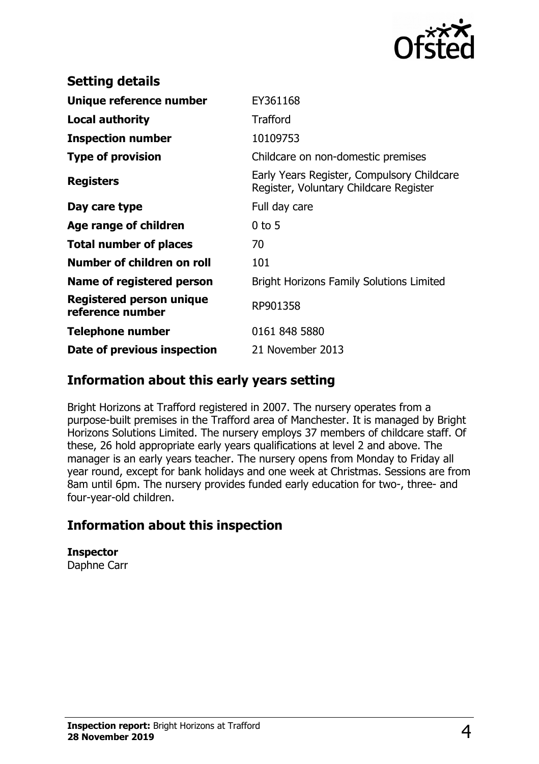

| <b>Setting details</b>                              |                                                                                      |
|-----------------------------------------------------|--------------------------------------------------------------------------------------|
| Unique reference number                             | EY361168                                                                             |
| <b>Local authority</b>                              | <b>Trafford</b>                                                                      |
| <b>Inspection number</b>                            | 10109753                                                                             |
| <b>Type of provision</b>                            | Childcare on non-domestic premises                                                   |
| <b>Registers</b>                                    | Early Years Register, Compulsory Childcare<br>Register, Voluntary Childcare Register |
| Day care type                                       | Full day care                                                                        |
| Age range of children                               | $0$ to 5                                                                             |
| <b>Total number of places</b>                       | 70                                                                                   |
| Number of children on roll                          | 101                                                                                  |
| Name of registered person                           | <b>Bright Horizons Family Solutions Limited</b>                                      |
| <b>Registered person unique</b><br>reference number | RP901358                                                                             |
| Telephone number                                    | 0161 848 5880                                                                        |
| Date of previous inspection                         | 21 November 2013                                                                     |

### **Information about this early years setting**

Bright Horizons at Trafford registered in 2007. The nursery operates from a purpose-built premises in the Trafford area of Manchester. It is managed by Bright Horizons Solutions Limited. The nursery employs 37 members of childcare staff. Of these, 26 hold appropriate early years qualifications at level 2 and above. The manager is an early years teacher. The nursery opens from Monday to Friday all year round, except for bank holidays and one week at Christmas. Sessions are from 8am until 6pm. The nursery provides funded early education for two-, three- and four-year-old children.

## **Information about this inspection**

**Inspector** Daphne Carr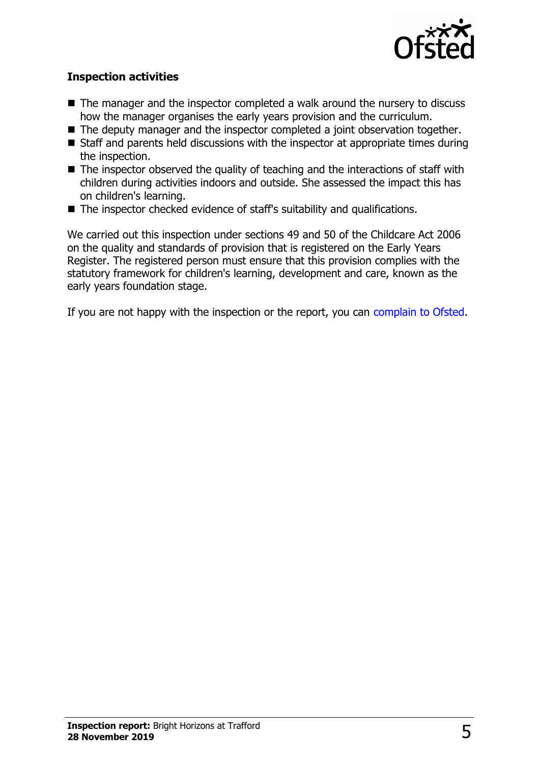

#### **Inspection activities**

- $\blacksquare$  The manager and the inspector completed a walk around the nursery to discuss how the manager organises the early years provision and the curriculum.
- $\blacksquare$  The deputy manager and the inspector completed a joint observation together.
- $\blacksquare$  Staff and parents held discussions with the inspector at appropriate times during the inspection.
- $\blacksquare$  The inspector observed the quality of teaching and the interactions of staff with children during activities indoors and outside. She assessed the impact this has on children's learning.
- $\blacksquare$  The inspector checked evidence of staff's suitability and qualifications.

We carried out this inspection under sections 49 and 50 of the Childcare Act 2006 on the quality and standards of provision that is registered on the Early Years Register. The registered person must ensure that this provision complies with the statutory framework for children's learning, development and care, known as the early years foundation stage.

If you are not happy with the inspection or the report, you can [complain to Ofsted.](http://www.gov.uk/complain-ofsted-report)